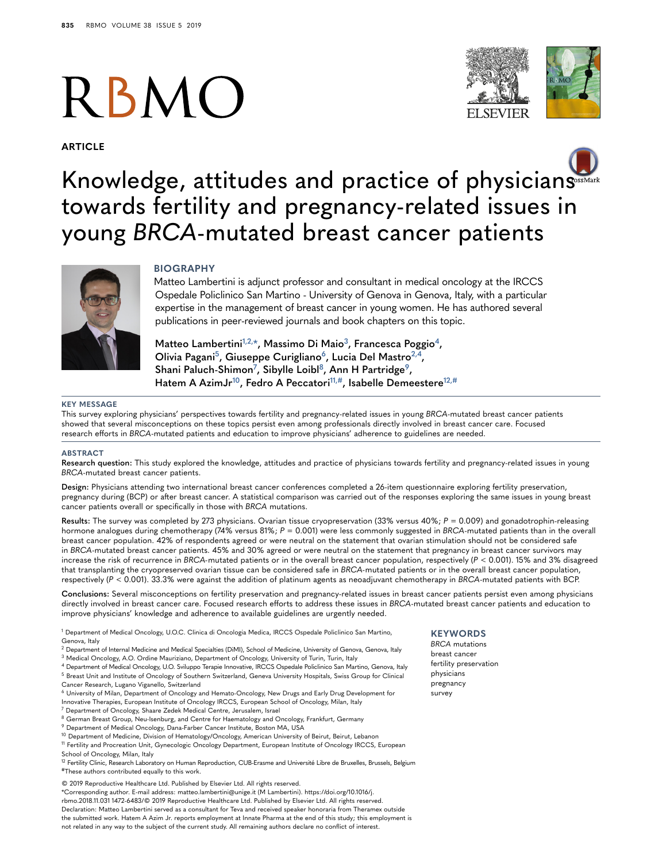# RBMO

**ARTICLE**



# Knowledge, attitudes and practice of physicia[ns](http://crossmark.crossref.org/dialog/?doi=10.1016/j.rbmo.2018.11.031&domain=pdf) SSEMARK towards fertility and pregnancy-related issues in young *BRCA*-mutated breast cancer patients



#### **BIOGRAPHY**

Matteo Lambertini is adjunct professor and consultant in medical oncology at the IRCCS Ospedale Policlinico San Martino - University of Genova in Genova, Italy, with a particular expertise in the management of breast cancer in young women. He has authored several publications in peer-reviewed journals and book chapters on this topic.

**Matteo Lambertin[i1,](#page-0-0)[2,](#page-0-1)[\\*](#page-0-2), Massimo Di Maio[3,](#page-0-3) Francesca Poggio[4,](#page-0-4) Olivia Pagan[i5,](#page-0-5) Giuseppe Curiglian[o6](#page-0-6), Lucia Del Mastro[2,](#page-0-1)[4](#page-0-4), Shani Paluch-Shimo[n7](#page-0-7) , Sibylle Loib[l8,](#page-0-8) Ann H Partridg[e9,](#page-0-9) Hatem A AzimJ[r10,](#page-0-10) Fedro A Peccator[i11,](#page-0-11)[#](#page-0-12), Isabelle Demeestere[12,](#page-0-13)[#](#page-0-12)**

#### **KEY MESSAGE**

This survey exploring physicians' perspectives towards fertility and pregnancy-related issues in young *BRCA*-mutated breast cancer patients showed that several misconceptions on these topics persist even among professionals directly involved in breast cancer care. Focused research efforts in *BRCA*-mutated patients and education to improve physicians' adherence to guidelines are needed.

#### **ABSTRACT**

**Research question:** This study explored the knowledge, attitudes and practice of physicians towards fertility and pregnancy-related issues in young *BRCA*-mutated breast cancer patients.

**Design:** Physicians attending two international breast cancer conferences completed a 26-item questionnaire exploring fertility preservation, pregnancy during (BCP) or after breast cancer. A statistical comparison was carried out of the responses exploring the same issues in young breast cancer patients overall or specifically in those with *BRCA* mutations.

**Results:** The survey was completed by 273 physicians. Ovarian tissue cryopreservation (33% versus 40%; *P* = 0.009) and gonadotrophin-releasing hormone analogues during chemotherapy (74% versus 81%; *P* = 0.001) were less commonly suggested in *BRCA*-mutated patients than in the overall breast cancer population. 42% of respondents agreed or were neutral on the statement that ovarian stimulation should not be considered safe in *BRCA*-mutated breast cancer patients. 45% and 30% agreed or were neutral on the statement that pregnancy in breast cancer survivors may increase the risk of recurrence in *BRCA-*mutated patients or in the overall breast cancer population, respectively (*P* < 0.001). 15% and 3% disagreed that transplanting the cryopreserved ovarian tissue can be considered safe in *BRCA-*mutated patients or in the overall breast cancer population, respectively (*P* < 0.001). 33.3% were against the addition of platinum agents as neoadjuvant chemotherapy in *BRCA*-mutated patients with BCP.

**Conclusions:** Several misconceptions on fertility preservation and pregnancy-related issues in breast cancer patients persist even among physicians directly involved in breast cancer care. Focused research efforts to address these issues in *BRCA*-mutated breast cancer patients and education to improve physicians' knowledge and adherence to available guidelines are urgently needed.

<span id="page-0-0"></span><sup>1</sup> Department of Medical Oncology, U.O.C. Clinica di Oncologia Medica, IRCCS Ospedale Policlinico San Martino, Genova, Italy

- <span id="page-0-1"></span><sup>2</sup> Department of Internal Medicine and Medical Specialties (DiMI), School of Medicine, University of Genova, Genova, Italy
- <span id="page-0-3"></span><sup>3</sup> Medical Oncology, A.O. Ordine Mauriziano, Department of Oncology, University of Turin, Turin, Italy
- <span id="page-0-5"></span><span id="page-0-4"></span><sup>4</sup> Department of Medical Oncology, U.O. Sviluppo Terapie Innovative, IRCCS Ospedale Policlinico San Martino, Genova, Italy <sup>5</sup> Breast Unit and Institute of Oncology of Southern Switzerland, Geneva University Hospitals, Swiss Group for Clinical
- Cancer Research, Lugano Viganello, Switzerland

<span id="page-0-6"></span><sup>6</sup> University of Milan, Department of Oncology and Hemato-Oncology, New Drugs and Early Drug Development for Innovative Therapies, European Institute of Oncology IRCCS, European School of Oncology, Milan, Italy

- <span id="page-0-8"></span><span id="page-0-7"></span><sup>7</sup> Department of Oncology, Shaare Zedek Medical Centre, Jerusalem, Israel 8 German Breast Group, Neu-Isenburg, and Centre for Haematology and Oncology, Frankfurt, Germany
- <span id="page-0-9"></span><sup>9</sup> Department of Medical Oncology, Dana-Farber Cancer Institute, Boston MA, USA
- 

<span id="page-0-11"></span><span id="page-0-10"></span><sup>10</sup> Department of Medicine, Division of Hematology/Oncology, American University of Beirut, Beirut, Lebanon <sup>11</sup> Fertility and Procreation Unit, Gynecologic Oncology Department, European Institute of Oncology IRCCS, European

School of Oncology, Milan, Italy

<span id="page-0-13"></span><span id="page-0-12"></span><sup>12</sup> Fertility Clinic, Research Laboratory on Human Reproduction, CUB-Erasme and Université Libre de Bruxelles, Brussels, Belgium #These authors contributed equally to this work.

© 2019 Reproductive Healthcare Ltd. Published by Elsevier Ltd. All rights reserved.

<span id="page-0-2"></span>\*Corresponding author. E-mail address: matteo.lambertini@unige.it (M Lambertini). https://doi.org/10.1016/j. rbmo.2018.11.031 1472-6483/© 2019 Reproductive Healthcare Ltd. Published by Elsevier Ltd. All rights reserved. Declaration: Matteo Lambertini served as a consultant for Teva and received speaker honoraria from Theramex outside the submitted work. Hatem A Azim Jr. reports employment at Innate Pharma at the end of this study; this employment is not related in any way to the subject of the current study. All remaining authors declare no conflict of interest.

# **KEYWORDS**

*BRCA* mutations breast cancer fertility preservation physicians pregnancy survey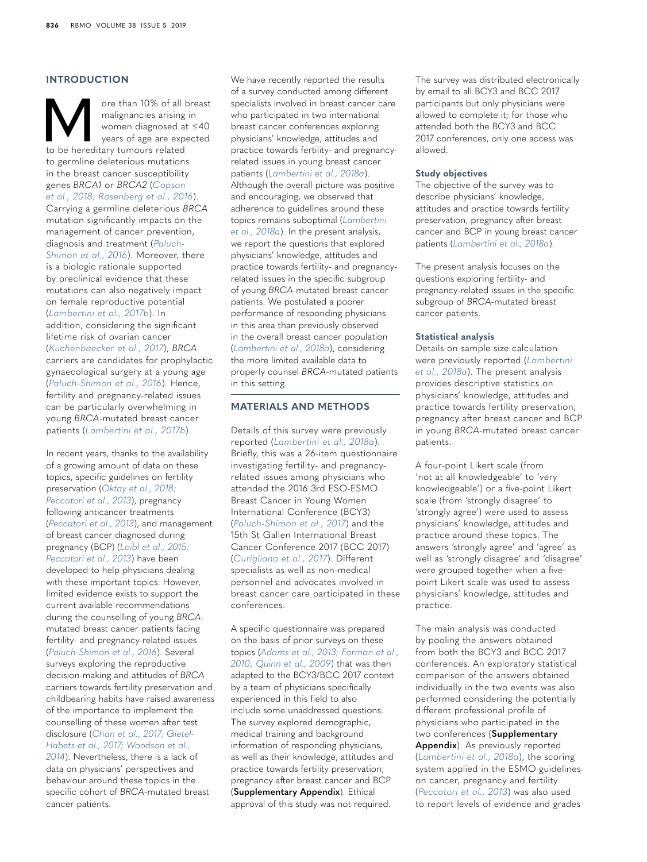# **INTRODUCTION**

**More than 10% of all breast** malignancies arising in women diagnosed at  $\leq 40$  years of age are expected to be hereditary tumours related malignancies arising in women diagnosed at ≤40 years of age are expected to germline deleterious mutations in the breast cancer susceptibility genes *BRCA1* or *BRCA2* (*[Copson](#page-7-0)  [et al., 2018; Rosenberg et al., 2016](#page-7-0)*). Carrying a germline deleterious *BRCA* mutation significantly impacts on the management of cancer prevention, diagnosis and treatment (*[Paluch-](#page-8-0)[Shimon et al., 2016](#page-8-0)*). Moreover, there is a biologic rationale supported by preclinical evidence that these mutations can also negatively impact on female reproductive potential (*[Lambertini et al., 2017b](#page-8-1)*). In addition, considering the significant lifetime risk of ovarian cancer (*[Kuchenbaecker et al., 2017](#page-8-2)*), *BRCA* carriers are candidates for prophylactic gynaecological surgery at a young age (*[Paluch-Shimon et al., 2016](#page-8-0)*). Hence, fertility and pregnancy-related issues can be particularly overwhelming in young *BRCA*-mutated breast cancer patients (*[Lambertini et al., 2017b](#page-8-1)*).

In recent years, thanks to the availability of a growing amount of data on these topics, specific guidelines on fertility preservation (*[Oktay et al., 2018;](#page-8-3)  [Peccatori et al., 2013](#page-8-3)*), pregnancy following anticancer treatments (*[Peccatori et al., 2013](#page-9-0)*), and management of breast cancer diagnosed during pregnancy (BCP) (*[Loibl et al., 2015;](#page-8-4)  [Peccatori et al., 2013](#page-8-4)*) have been developed to help physicians dealing with these important topics. However, limited evidence exists to support the current available recommendations during the counselling of young *BRCA*mutated breast cancer patients facing fertility- and pregnancy-related issues (*[Paluch-Shimon et al., 2016](#page-8-0)*). Several surveys exploring the reproductive decision-making and attitudes of *BRCA* carriers towards fertility preservation and childbearing habits have raised awareness of the importance to implement the counselling of these women after test disclosure (*[Chan et al., 2017; Gietel-](#page-7-1)[Habets et al., 2017; Woodson et al.,](#page-7-1)  [2014](#page-7-1)*). Nevertheless, there is a lack of data on physicians' perspectives and behaviour around these topics in the specific cohort of *BRCA*-mutated breast cancer patients.

We have recently reported the results of a survey conducted among different specialists involved in breast cancer care who participated in two international breast cancer conferences exploring physicians' knowledge, attitudes and practice towards fertility- and pregnancyrelated issues in young breast cancer patients (*[Lambertini et al., 2018a](#page-8-5)*). Although the overall picture was positive and encouraging, we observed that adherence to guidelines around these topics remains suboptimal (*[Lambertini](#page-8-5)  [et al., 2018a](#page-8-5)*). In the present analysis, we report the questions that explored physicians' knowledge, attitudes and practice towards fertility- and pregnancyrelated issues in the specific subgroup of young *BRCA*-mutated breast cancer patients. We postulated a poorer performance of responding physicians in this area than previously observed in the overall breast cancer population (*[Lambertini et al., 2018a](#page-8-5)*), considering the more limited available data to properly counsel *BRCA*-mutated patients in this setting.

# **MATERIALS AND METHODS**

Details of this survey were previously reported (*[Lambertini et al., 2018a](#page-8-5)*). Briefly, this was a 26-item questionnaire investigating fertility- and pregnancyrelated issues among physicians who attended the 2016 3rd ESO-ESMO Breast Cancer in Young Women International Conference (BCY3) (*[Paluch-Shimon et al., 2017](#page-8-6)*) and the 15th St Gallen International Breast Cancer Conference 2017 (BCC 2017) (*[Curigliano et al., 2017](#page-7-2)*). Different specialists as well as non-medical personnel and advocates involved in breast cancer care participated in these conferences.

A specific questionnaire was prepared on the basis of prior surveys on these topics (*[Adams et al., 2013; Forman et al.,](#page-7-3)  [2010; Quinn et al., 2009](#page-7-3)*) that was then adapted to the BCY3/BCC 2017 context by a team of physicians specifically experienced in this field to also include some unaddressed questions. The survey explored demographic, medical training and background information of responding physicians, as well as their knowledge, attitudes and practice towards fertility preservation, pregnancy after breast cancer and BCP (**Supplementary Appendix**). Ethical approval of this study was not required.

The survey was distributed electronically by email to all BCY3 and BCC 2017 participants but only physicians were allowed to complete it; for those who attended both the BCY3 and BCC 2017 conferences, only one access was allowed.

#### **Study objectives**

The objective of the survey was to describe physicians' knowledge, attitudes and practice towards fertility preservation, pregnancy after breast cancer and BCP in young breast cancer patients (*[Lambertini et al., 2018a](#page-8-5)*).

The present analysis focuses on the questions exploring fertility- and pregnancy-related issues in the specific subgroup of *BRCA-*mutated breast cancer patients.

#### **Statistical analysis**

Details on sample size calculation were previously reported (*[Lambertini](#page-8-5)  [et al., 2018a](#page-8-5)*). The present analysis provides descriptive statistics on physicians' knowledge, attitudes and practice towards fertility preservation, pregnancy after breast cancer and BCP in young *BRCA-*mutated breast cancer patients.

A four-point Likert scale (from 'not at all knowledgeable' to 'very knowledgeable') or a five-point Likert scale (from 'strongly disagree' to 'strongly agree') were used to assess physicians' knowledge, attitudes and practice around these topics. The answers 'strongly agree' and 'agree' as well as 'strongly disagree' and 'disagree' were grouped together when a fivepoint Likert scale was used to assess physicians' knowledge, attitudes and practice.

The main analysis was conducted by pooling the answers obtained from both the BCY3 and BCC 2017 conferences. An exploratory statistical comparison of the answers obtained individually in the two events was also performed considering the potentially different professional profile of physicians who participated in the two conferences (**Supplementary Appendix**). As previously reported (*[Lambertini et al., 2018a](#page-8-5)*), the scoring system applied in the ESMO guidelines on cancer, pregnancy and fertility (*[Peccatori et al., 2013](#page-9-0)*) was also used to report levels of evidence and grades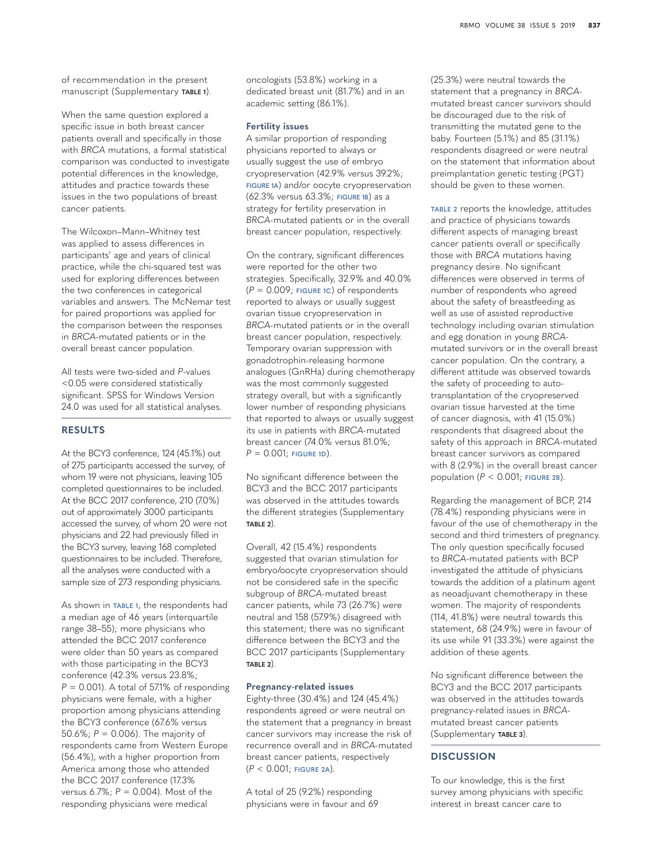of recommendation in the present manuscript (Supplementary **TABLE 1**).

When the same question explored a specific issue in both breast cancer patients overall and specifically in those with *BRCA* mutations, a formal statistical comparison was conducted to investigate potential differences in the knowledge, attitudes and practice towards these issues in the two populations of breast cancer patients.

The Wilcoxon–Mann–Whitney test was applied to assess differences in participants' age and years of clinical practice, while the chi-squared test was used for exploring differences between the two conferences in categorical variables and answers. The McNemar test for paired proportions was applied for the comparison between the responses in *BRCA-*mutated patients or in the overall breast cancer population.

All tests were two-sided and *P*-values <0.05 were considered statistically significant. SPSS for Windows Version 24.0 was used for all statistical analyses.

# **RESULTS**

At the BCY3 conference, 124 (45.1%) out of 275 participants accessed the survey, of whom 19 were not physicians, leaving 105 completed questionnaires to be included. At the BCC 2017 conference, 210 (7.0%) out of approximately 3000 participants accessed the survey, of whom 20 were not physicians and 22 had previously filled in the BCY3 survey, leaving 168 completed questionnaires to be included. Therefore, all the analyses were conducted with a sample size of 273 responding physicians.

As shown in **[TABLE 1](#page-3-0)**, the respondents had a median age of 46 years (interquartile range 38–55); more physicians who attended the BCC 2017 conference were older than 50 years as compared with those participating in the BCY3 conference (42.3% versus 23.8%; *P* = 0.001). A total of 57.1% of responding physicians were female, with a higher proportion among physicians attending the BCY3 conference (67.6% versus 50.6%; *P* = 0.006). The majority of respondents came from Western Europe (56.4%), with a higher proportion from America among those who attended the BCC 2017 conference (17.3% versus 6.7%; *P* = 0.004). Most of the responding physicians were medical

oncologists (53.8%) working in a dedicated breast unit (81.7%) and in an academic setting (86.1%).

#### **Fertility issues**

A similar proportion of responding physicians reported to always or usually suggest the use of embryo cryopreservation (42.9% versus 39.2%; **[FIGURE 1A](#page-4-0)**) and/or oocyte cryopreservation (62.3% versus 63.3%; **[FIGURE 1B](#page-4-0)**) as a strategy for fertility preservation in *BRCA-*mutated patients or in the overall breast cancer population, respectively.

On the contrary, significant differences were reported for the other two strategies. Specifically, 32.9% and 40.0% (*P* = 0.009; **[FIGURE 1C](#page-4-0)**) of respondents reported to always or usually suggest ovarian tissue cryopreservation in *BRCA-*mutated patients or in the overall breast cancer population, respectively. Temporary ovarian suppression with gonadotrophin-releasing hormone analogues (GnRHa) during chemotherapy was the most commonly suggested strategy overall, but with a significantly lower number of responding physicians that reported to always or usually suggest its use in patients with *BRCA-*mutated breast cancer (74.0% versus 81.0%; *P* = 0.001; **[FIGURE 1D](#page-4-0)**).

No significant difference between the BCY3 and the BCC 2017 participants was observed in the attitudes towards the different strategies (Supplementary **TABLE 2**).

Overall, 42 (15.4%) respondents suggested that ovarian stimulation for embryo/oocyte cryopreservation should not be considered safe in the specific subgroup of *BRCA-*mutated breast cancer patients, while 73 (26.7%) were neutral and 158 (57.9%) disagreed with this statement; there was no significant difference between the BCY3 and the BCC 2017 participants (Supplementary **TABLE 2**).

#### **Pregnancy-related issues**

Eighty-three (30.4%) and 124 (45.4%) respondents agreed or were neutral on the statement that a pregnancy in breast cancer survivors may increase the risk of recurrence overall and in *BRCA-*mutated breast cancer patients, respectively (*P* < 0.001; **[FIGURE 2A](#page-5-0)**).

A total of 25 (9.2%) responding physicians were in favour and 69 (25.3%) were neutral towards the statement that a pregnancy in *BRCA*mutated breast cancer survivors should be discouraged due to the risk of transmitting the mutated gene to the baby. Fourteen (5.1%) and 85 (31.1%) respondents disagreed or were neutral on the statement that information about preimplantation genetic testing (PGT) should be given to these women.

**[TABLE 2](#page-6-0)** reports the knowledge, attitudes and practice of physicians towards different aspects of managing breast cancer patients overall or specifically those with *BRCA* mutations having pregnancy desire. No significant differences were observed in terms of number of respondents who agreed about the safety of breastfeeding as well as use of assisted reproductive technology including ovarian stimulation and egg donation in young *BRCA*mutated survivors or in the overall breast cancer population. On the contrary, a different attitude was observed towards the safety of proceeding to autotransplantation of the cryopreserved ovarian tissue harvested at the time of cancer diagnosis, with 41 (15.0%) respondents that disagreed about the safety of this approach in *BRCA*-mutated breast cancer survivors as compared with 8 (2.9%) in the overall breast cancer population (*P* < 0.001; **[FIGURE 2B](#page-5-0)**).

Regarding the management of BCP, 214 (78.4%) responding physicians were in favour of the use of chemotherapy in the second and third trimesters of pregnancy. The only question specifically focused to *BRCA*-mutated patients with BCP investigated the attitude of physicians towards the addition of a platinum agent as neoadjuvant chemotherapy in these women. The majority of respondents (114, 41.8%) were neutral towards this statement, 68 (24.9%) were in favour of its use while 91 (33.3%) were against the addition of these agents.

No significant difference between the BCY3 and the BCC 2017 participants was observed in the attitudes towards pregnancy-related issues in *BRCA*mutated breast cancer patients (Supplementary **TABLE 3**).

# **DISCUSSION**

To our knowledge, this is the first survey among physicians with specific interest in breast cancer care to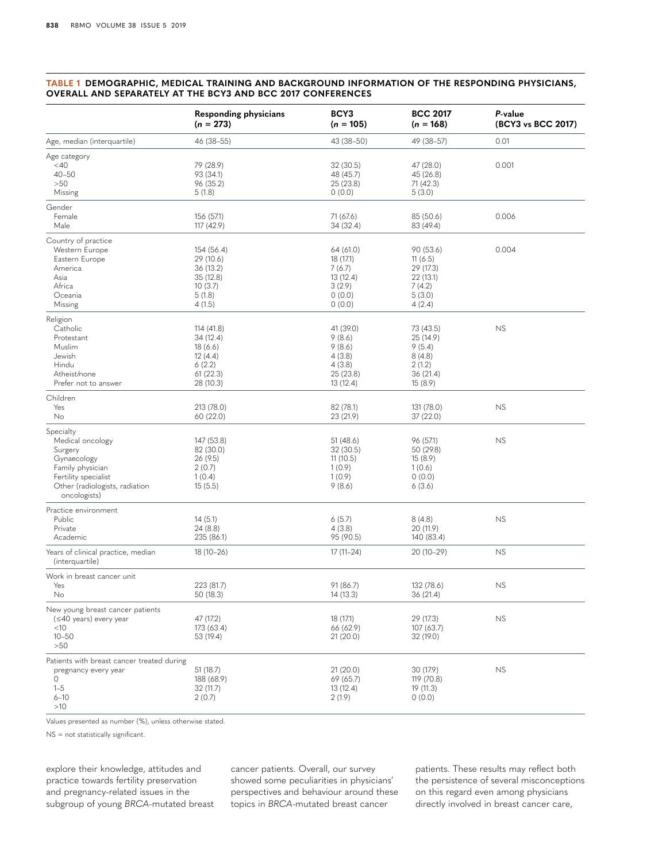#### <span id="page-3-0"></span>**TABLE 1 DEMOGRAPHIC, MEDICAL TRAINING AND BACKGROUND INFORMATION OF THE RESPONDING PHYSICIANS, OVERALL AND SEPARATELY AT THE BCY3 AND BCC 2017 CONFERENCES**

|                                                                                                                                                       | Responding physicians<br>$(n = 273)$                                             | BCY3<br>$(n = 105)$                                                         | <b>BCC 2017</b><br>$(n = 168)$                                               | P-value<br>(BCY3 vs BCC 2017) |
|-------------------------------------------------------------------------------------------------------------------------------------------------------|----------------------------------------------------------------------------------|-----------------------------------------------------------------------------|------------------------------------------------------------------------------|-------------------------------|
| Age, median (interquartile)                                                                                                                           | 46 (38-55)                                                                       | 43 (38-50)                                                                  | 49 (38-57)                                                                   | 0.01                          |
| Age category<br>$<$ 40<br>$40 - 50$<br>>50<br>Missing                                                                                                 | 79 (28.9)<br>93 (34.1)<br>96 (35.2)<br>5(1.8)                                    | 32 (30.5)<br>48 (45.7)<br>25 (23.8)<br>0(0.0)                               | 47 (28.0)<br>45 (26.8)<br>71 (42.3)<br>5(3.0)                                | 0.001                         |
| Gender<br>Female<br>Male                                                                                                                              | 156 (57.1)<br>117 (42.9)                                                         | 71 (67.6)<br>34 (32.4)                                                      | 85 (50.6)<br>83 (49.4)                                                       | 0.006                         |
| Country of practice<br>Western Europe<br>Eastern Europe<br>America<br>Asia<br>Africa<br>Oceania<br>Missing                                            | 154 (56.4)<br>29 (10.6)<br>36 (13.2)<br>35 (12.8)<br>10(3.7)<br>5(1.8)<br>4(1.5) | 64 (61.0)<br>18 (17.1)<br>7(6.7)<br>13 (12.4)<br>3(2.9)<br>0(0.0)<br>0(0.0) | 90 (53.6)<br>11(6.5)<br>29 (17.3)<br>22 (13.1)<br>7(4.2)<br>5(3.0)<br>4(2.4) | 0.004                         |
| Religion<br>Catholic<br>Protestant<br>Muslim<br>Jewish<br>Hindu<br>Atheist/none<br>Prefer not to answer                                               | 114 (41.8)<br>34 (12.4)<br>18(6.6)<br>12(4.4)<br>6(2.2)<br>61(22.3)<br>28 (10.3) | 41 (39.0)<br>9(8.6)<br>9(8.6)<br>4(3.8)<br>4(3.8)<br>25 (23.8)<br>13 (12.4) | 73 (43.5)<br>25 (14.9)<br>9(5.4)<br>8(4.8)<br>2(1.2)<br>36 (21.4)<br>15(8.9) | NS                            |
| Children<br>Yes<br>No                                                                                                                                 | 213 (78.0)<br>60 (22.0)                                                          | 82 (78.1)<br>23 (21.9)                                                      | 131 (78.0)<br>37 (22.0)                                                      | NS                            |
| Specialty<br>Medical oncology<br>Surgery<br>Gynaecology<br>Family physician<br>Fertility specialist<br>Other (radiologists, radiation<br>oncologists) | 147 (53.8)<br>82 (30.0)<br>26 (9.5)<br>2(0.7)<br>1(0.4)<br>15(5.5)               | 51(48.6)<br>32 (30.5)<br>11(10.5)<br>1(0.9)<br>1(0.9)<br>9(8.6)             | 96 (57.1)<br>50 (29.8)<br>15(8.9)<br>1(0.6)<br>0(0.0)<br>6(3.6)              | <b>NS</b>                     |
| Practice environment<br>Public<br>Private<br>Academic                                                                                                 | 14(5.1)<br>24 (8.8)<br>235 (86.1)                                                | 6(5.7)<br>4(3.8)<br>95 (90.5)                                               | 8(4.8)<br>20 (11.9)<br>140 (83.4)                                            | <b>NS</b>                     |
| Years of clinical practice, median<br>(interquartile)                                                                                                 | $18(10-26)$                                                                      | $17(11-24)$                                                                 | 20 (10-29)                                                                   | <b>NS</b>                     |
| Work in breast cancer unit<br>Yes<br>No                                                                                                               | 223 (81.7)<br>50 (18.3)                                                          | 91 (86.7)<br>14 (13.3)                                                      | 132 (78.6)<br>36 (21.4)                                                      | <b>NS</b>                     |
| New young breast cancer patients<br>$(\leq 40$ years) every year<br>$<$ 10<br>$10 - 50$<br>>50                                                        | 47 (17.2)<br>173 (63.4)<br>53 (19.4)                                             | 18 (17.1)<br>66 (62.9)<br>21(20.0)                                          | 29 (17.3)<br>107 (63.7)<br>32 (19.0)                                         | <b>NS</b>                     |
| Patients with breast cancer treated during<br>pregnancy every year<br>$\circ$<br>$1 - 5$<br>$6 - 10$<br>$>10$                                         | 51(18.7)<br>188 (68.9)<br>32 (11.7)<br>2(0.7)                                    | 21(20.0)<br>69 (65.7)<br>13 (12.4)<br>2(1.9)                                | 30 (17.9)<br>119 (70.8)<br>19 (11.3)<br>0(0.0)                               | <b>NS</b>                     |

Values presented as number (%), unless otherwise stated.

NS = not statistically significant.

explore their knowledge, attitudes and practice towards fertility preservation and pregnancy-related issues in the subgroup of young *BRCA*-mutated breast cancer patients. Overall, our survey showed some peculiarities in physicians' perspectives and behaviour around these topics in *BRCA*-mutated breast cancer

patients. These results may reflect both the persistence of several misconceptions on this regard even among physicians directly involved in breast cancer care,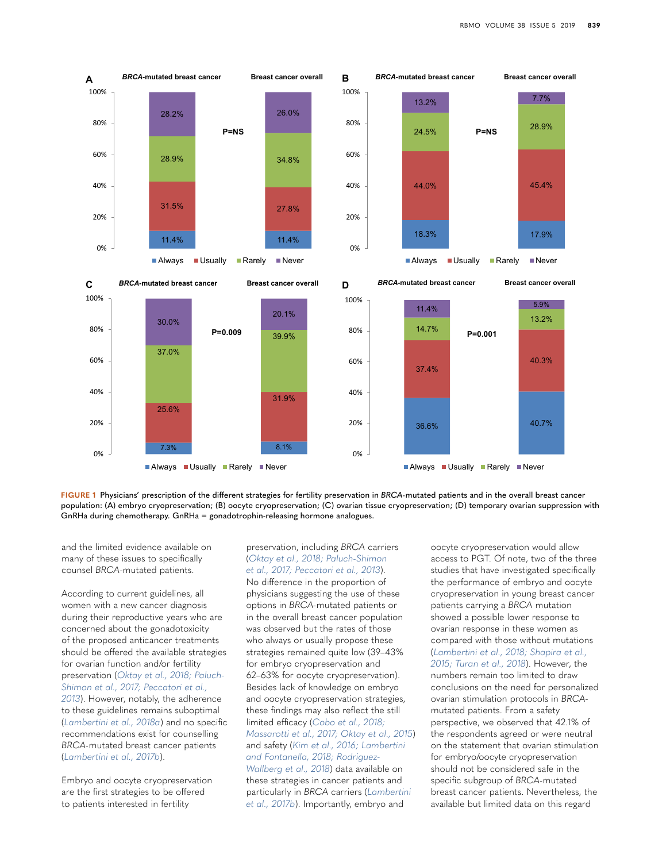

<span id="page-4-0"></span>**FIGURE 1** Physicians' prescription of the different strategies for fertility preservation in *BRCA-*mutated patients and in the overall breast cancer population: (A) embryo cryopreservation; (B) oocyte cryopreservation; (C) ovarian tissue cryopreservation; (D) temporary ovarian suppression with GnRHa during chemotherapy. GnRHa = gonadotrophin-releasing hormone analogues.

and the limited evidence available on many of these issues to specifically counsel *BRCA*-mutated patients.

According to current guidelines, all women with a new cancer diagnosis during their reproductive years who are concerned about the gonadotoxicity of the proposed anticancer treatments should be offered the available strategies for ovarian function and/or fertility preservation (*[Oktay et al., 2018; Paluch-](#page-8-3)[Shimon et al., 2017; Peccatori et al.,](#page-8-3)  [2013](#page-8-3)*). However, notably, the adherence to these guidelines remains suboptimal (*[Lambertini et al., 2018a](#page-8-5)*) and no specific recommendations exist for counselling *BRCA-*mutated breast cancer patients (*[Lambertini et al., 2017b](#page-8-1)*).

Embryo and oocyte cryopreservation are the first strategies to be offered to patients interested in fertility

preservation, including *BRCA* carriers (*[Oktay et al., 2018; Paluch-Shimon](#page-8-3)  [et al., 2017; Peccatori et al., 2013](#page-8-3)*). No difference in the proportion of physicians suggesting the use of these options in *BRCA-*mutated patients or in the overall breast cancer population was observed but the rates of those who always or usually propose these strategies remained quite low (39–43% for embryo cryopreservation and 62–63% for oocyte cryopreservation). Besides lack of knowledge on embryo and oocyte cryopreservation strategies, these findings may also reflect the still limited efficacy (*[Cobo et al., 2018;](#page-7-4)  [Massarotti et al., 2017; Oktay et al., 2015](#page-7-4)*) and safety (*[Kim et al., 2016; Lambertini](#page-8-7)  [and Fontanella, 2018; Rodriguez-](#page-8-7)[Wallberg et al., 2018](#page-8-7)*) data available on these strategies in cancer patients and particularly in *BRCA* carriers (*[Lambertini](#page-8-1)  [et al., 2017b](#page-8-1)*). Importantly, embryo and

oocyte cryopreservation would allow access to PGT. Of note, two of the three studies that have investigated specifically the performance of embryo and oocyte cryopreservation in young breast cancer patients carrying a *BRCA* mutation showed a possible lower response to ovarian response in these women as compared with those without mutations (*[Lambertini et al., 2018; Shapira et al.,](#page-8-8)  [2015; Turan et al., 2018](#page-8-8)*). However, the numbers remain too limited to draw conclusions on the need for personalized ovarian stimulation protocols in *BRCA*mutated patients. From a safety perspective, we observed that 42.1% of the respondents agreed or were neutral on the statement that ovarian stimulation for embryo/oocyte cryopreservation should not be considered safe in the specific subgroup of *BRCA-*mutated breast cancer patients. Nevertheless, the available but limited data on this regard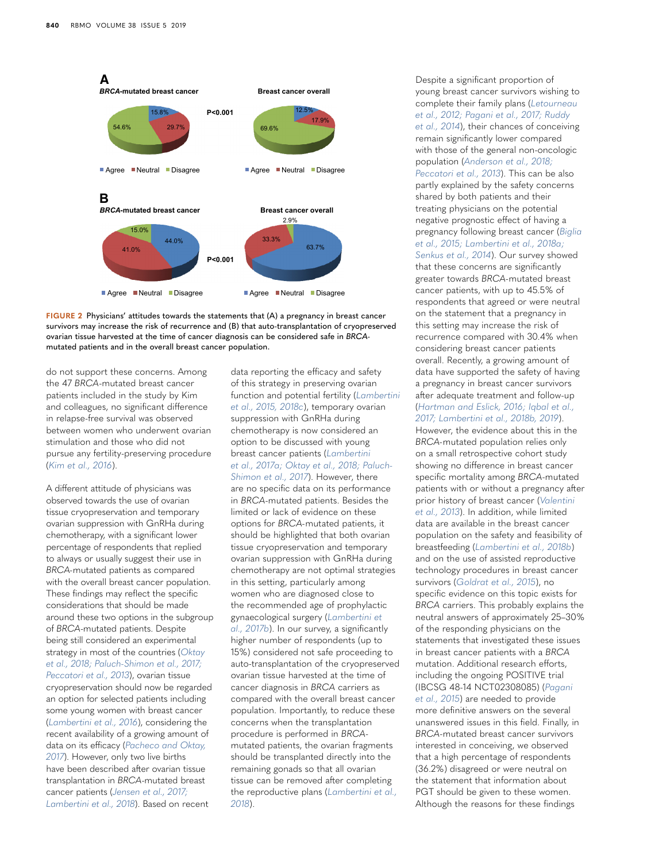

<span id="page-5-0"></span>

do not support these concerns. Among the 47 *BRCA*-mutated breast cancer patients included in the study by Kim and colleagues, no significant difference in relapse-free survival was observed between women who underwent ovarian stimulation and those who did not pursue any fertility-preserving procedure (*[Kim et al., 2016](#page-8-7)*).

A different attitude of physicians was observed towards the use of ovarian tissue cryopreservation and temporary ovarian suppression with GnRHa during chemotherapy, with a significant lower percentage of respondents that replied to always or usually suggest their use in *BRCA-*mutated patients as compared with the overall breast cancer population. These findings may reflect the specific considerations that should be made around these two options in the subgroup of *BRCA*-mutated patients. Despite being still considered an experimental strategy in most of the countries (*[Oktay](#page-8-3)  [et al., 2018; Paluch-Shimon et al., 2017;](#page-8-3)  [Peccatori et al., 2013](#page-8-3)*), ovarian tissue cryopreservation should now be regarded an option for selected patients including some young women with breast cancer (*[Lambertini et al., 2016](#page-8-9)*), considering the recent availability of a growing amount of data on its efficacy (*[Pacheco and Oktay,](#page-8-10)  [2017](#page-8-10)*). However, only two live births have been described after ovarian tissue transplantation in *BRCA*-mutated breast cancer patients (*[Jensen et al., 2017;](#page-8-11)  [Lambertini et al., 2018](#page-8-11)*). Based on recent

data reporting the efficacy and safety of this strategy in preserving ovarian function and potential fertility (*[Lambertini](#page-8-12)  [et al., 2015, 2018c](#page-8-12)*), temporary ovarian suppression with GnRHa during chemotherapy is now considered an option to be discussed with young breast cancer patients (*[Lambertini](#page-8-13)  [et al., 2017a; Oktay et al., 2018; Paluch-](#page-8-13)[Shimon et al., 2017](#page-8-13)*). However, there are no specific data on its performance in *BRCA*-mutated patients. Besides the limited or lack of evidence on these options for *BRCA-*mutated patients, it should be highlighted that both ovarian tissue cryopreservation and temporary ovarian suppression with GnRHa during chemotherapy are not optimal strategies in this setting, particularly among women who are diagnosed close to the recommended age of prophylactic gynaecological surgery (*[Lambertini et](#page-8-1)  [al., 2017b](#page-8-1)*). In our survey, a significantly higher number of respondents (up to 15%) considered not safe proceeding to auto-transplantation of the cryopreserved ovarian tissue harvested at the time of cancer diagnosis in *BRCA* carriers as compared with the overall breast cancer population. Importantly, to reduce these concerns when the transplantation procedure is performed in *BRCA*mutated patients, the ovarian fragments should be transplanted directly into the remaining gonads so that all ovarian tissue can be removed after completing the reproductive plans (*[Lambertini et al.,](#page-8-8)  [2018](#page-8-8)*).

Despite a significant proportion of young breast cancer survivors wishing to complete their family plans (*[Letourneau](#page-8-14)  [et al., 2012; Pagani et al., 2017; Ruddy](#page-8-14)  [et al., 2014](#page-8-14)*), their chances of conceiving remain significantly lower compared with those of the general non-oncologic population (*[Anderson et al., 2018;](#page-7-5)  [Peccatori et al., 2013](#page-7-5)*). This can be also partly explained by the safety concerns shared by both patients and their treating physicians on the potential negative prognostic effect of having a pregnancy following breast cancer (*[Biglia](#page-7-6)  [et al., 2015; Lambertini et al., 2018a;](#page-7-6)  [Senkus et al., 2014](#page-7-6)*). Our survey showed that these concerns are significantly greater towards *BRCA-*mutated breast cancer patients, with up to 45.5% of respondents that agreed or were neutral on the statement that a pregnancy in this setting may increase the risk of recurrence compared with 30.4% when considering breast cancer patients overall. Recently, a growing amount of data have supported the safety of having a pregnancy in breast cancer survivors after adequate treatment and follow-up (*[Hartman and Eslick, 2016; Iqbal et al.,](#page-7-7)  [2017; Lambertini et al., 2018b, 2019](#page-7-7)*).

However, the evidence about this in the *BRCA-*mutated population relies only on a small retrospective cohort study showing no difference in breast cancer specific mortality among *BRCA*-mutated patients with or without a pregnancy after prior history of breast cancer (*[Valentini](#page-9-1)  [et al., 2013](#page-9-1)*). In addition, while limited data are available in the breast cancer population on the safety and feasibility of breastfeeding (*[Lambertini et al., 2018b](#page-8-15)*) and on the use of assisted reproductive technology procedures in breast cancer survivors (*[Goldrat et al., 2015](#page-7-8)*), no specific evidence on this topic exists for *BRCA* carriers. This probably explains the neutral answers of approximately 25–30% of the responding physicians on the statements that investigated these issues in breast cancer patients with a *BRCA* mutation. Additional research efforts, including the ongoing POSITIVE trial (IBCSG 48-14 NCT02308085) (*[Pagani](#page-8-16)  [et al., 2015](#page-8-16)*) are needed to provide more definitive answers on the several unanswered issues in this field. Finally, in *BRCA*-mutated breast cancer survivors interested in conceiving, we observed that a high percentage of respondents (36.2%) disagreed or were neutral on the statement that information about PGT should be given to these women. Although the reasons for these findings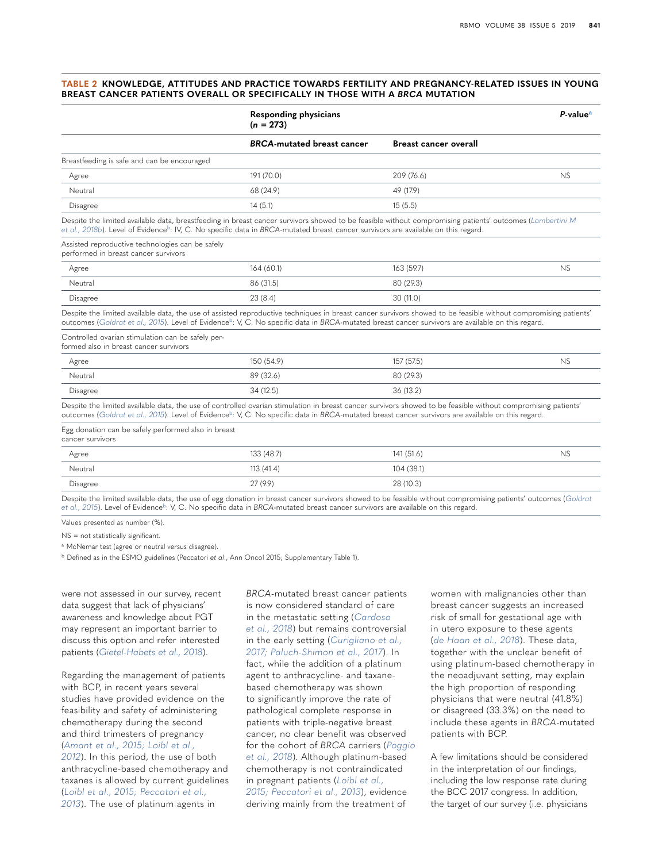#### <span id="page-6-0"></span>**TABLE 2 KNOWLEDGE, ATTITUDES AND PRACTICE TOWARDS FERTILITY AND PREGNANCY-RELATED ISSUES IN YOUNG BREAST CANCER PATIENTS OVERALL OR SPECIFICALLY IN THOSE WITH A** *BRCA* **MUTATION**

|                                                                                                                                                                                                                                                                                                                                   | <b>Responding physicians</b><br>$(n = 273)$ |                              | $P-valuea$ |
|-----------------------------------------------------------------------------------------------------------------------------------------------------------------------------------------------------------------------------------------------------------------------------------------------------------------------------------|---------------------------------------------|------------------------------|------------|
|                                                                                                                                                                                                                                                                                                                                   | <b>BRCA-mutated breast cancer</b>           | <b>Breast cancer overall</b> |            |
| Breastfeeding is safe and can be encouraged                                                                                                                                                                                                                                                                                       |                                             |                              |            |
| Agree                                                                                                                                                                                                                                                                                                                             | 191 (70.0)                                  | 209 (76.6)                   | <b>NS</b>  |
| Neutral                                                                                                                                                                                                                                                                                                                           | 68 (24.9)                                   | 49 (17.9)                    |            |
| <b>Disagree</b>                                                                                                                                                                                                                                                                                                                   | 14(5.1)                                     | 15(5.5)                      |            |
| Despite the limited available data, breastfeeding in breast cancer survivors showed to be feasible without compromising patients' outcomes (Lambertini M<br>et al., 2018b). Level of Evidence <sup>b</sup> : IV, C. No specific data in BRCA-mutated breast cancer survivors are available on this regard.                        |                                             |                              |            |
| Assisted reproductive technologies can be safely<br>performed in breast cancer survivors                                                                                                                                                                                                                                          |                                             |                              |            |
| Agree                                                                                                                                                                                                                                                                                                                             | 164 (60.1)                                  | 163 (59.7)                   | <b>NS</b>  |
| Neutral                                                                                                                                                                                                                                                                                                                           | 86 (31.5)                                   | 80 (29.3)                    |            |
| <b>Disagree</b>                                                                                                                                                                                                                                                                                                                   | 23(8.4)                                     | 30(11.0)                     |            |
| Despite the limited available data, the use of assisted reproductive techniques in breast cancer survivors showed to be feasible without compromising patients'<br>outcomes (Goldrat et al., 2015). Level of Evidence <sup>b</sup> : V, C. No specific data in BRCA-mutated breast cancer survivors are available on this regard. |                                             |                              |            |
| Controlled ovarian stimulation can be safely per-<br>formed also in breast cancer survivors                                                                                                                                                                                                                                       |                                             |                              |            |
| Agree                                                                                                                                                                                                                                                                                                                             | 150 (54.9)                                  | 157 (57.5)                   | NS         |
| Neutral                                                                                                                                                                                                                                                                                                                           | 89 (32.6)                                   | 80 (29.3)                    |            |
| <b>Disagree</b>                                                                                                                                                                                                                                                                                                                   | 34 (12.5)                                   | 36 (13.2)                    |            |
| Despite the limited available data, the use of controlled ovarian stimulation in breast cancer survivors showed to be feasible without compromising patients'<br>outcomes (Goldrat et al., 2015). Level of Evidence <sup>b</sup> : V, C. No specific data in BRCA-mutated breast cancer survivors are available on this regard.   |                                             |                              |            |
| Egg donation can be safely performed also in breast<br>cancer survivors                                                                                                                                                                                                                                                           |                                             |                              |            |
| Agree                                                                                                                                                                                                                                                                                                                             | 133 (48.7)                                  | 141 (51.6)                   | <b>NS</b>  |
| Neutral                                                                                                                                                                                                                                                                                                                           | 113(41.4)                                   | 104 (38.1)                   |            |

Despite the limited available data, the use of egg donation in breast cancer survivors showed to be feasible without compromising patients' outcomes (*[Goldrat](#page-7-8)  [et al., 2015](#page-7-8)*). Level of Evidence[b:](#page-6-2) V, C. No specific data in *BRCA*-mutated breast cancer survivors are available on this regard.

Values presented as number (%).

NS = not statistically significant.

<span id="page-6-1"></span><sup>a</sup> McNemar test (agree or neutral versus disagree).

<span id="page-6-2"></span><sup>b</sup> Defined as in the ESMO guidelines (Peccatori *et al*., Ann Oncol 2015; Supplementary Table 1).

Disagree 27 (9.9) 28 (10.3)

were not assessed in our survey, recent data suggest that lack of physicians' awareness and knowledge about PGT may represent an important barrier to discuss this option and refer interested patients (*[Gietel-Habets et al., 2018](#page-7-9)*).

Regarding the management of patients with BCP, in recent years several studies have provided evidence on the feasibility and safety of administering chemotherapy during the second and third trimesters of pregnancy (*[Amant et al., 2015; Loibl et al.,](#page-7-10)  [2012](#page-7-10)*). In this period, the use of both anthracycline-based chemotherapy and taxanes is allowed by current guidelines (*[Loibl et al., 2015; Peccatori et al.,](#page-8-4)  [2013](#page-8-4)*). The use of platinum agents in

*BRCA*-mutated breast cancer patients is now considered standard of care in the metastatic setting (*[Cardoso](#page-7-11)  [et al., 2018](#page-7-11)*) but remains controversial in the early setting (*[Curigliano et al.,](#page-7-2)  [2017; Paluch-Shimon et al., 2017](#page-7-2)*). In fact, while the addition of a platinum agent to anthracycline- and taxanebased chemotherapy was shown to significantly improve the rate of pathological complete response in patients with triple-negative breast cancer, no clear benefit was observed for the cohort of *BRCA* carriers (*[Poggio](#page-9-2)  [et al., 2018](#page-9-2)*). Although platinum-based chemotherapy is not contraindicated in pregnant patients (*[Loibl et al.,](#page-8-4)  [2015; Peccatori et al., 2013](#page-8-4)*), evidence deriving mainly from the treatment of

women with malignancies other than breast cancer suggests an increased risk of small for gestational age with in utero exposure to these agents (*[de Haan et al., 2018](#page-7-12)*). These data, together with the unclear benefit of using platinum-based chemotherapy in the neoadjuvant setting, may explain the high proportion of responding physicians that were neutral (41.8%) or disagreed (33.3%) on the need to include these agents in *BRCA*-mutated patients with BCP.

A few limitations should be considered in the interpretation of our findings, including the low response rate during the BCC 2017 congress. In addition, the target of our survey (i.e. physicians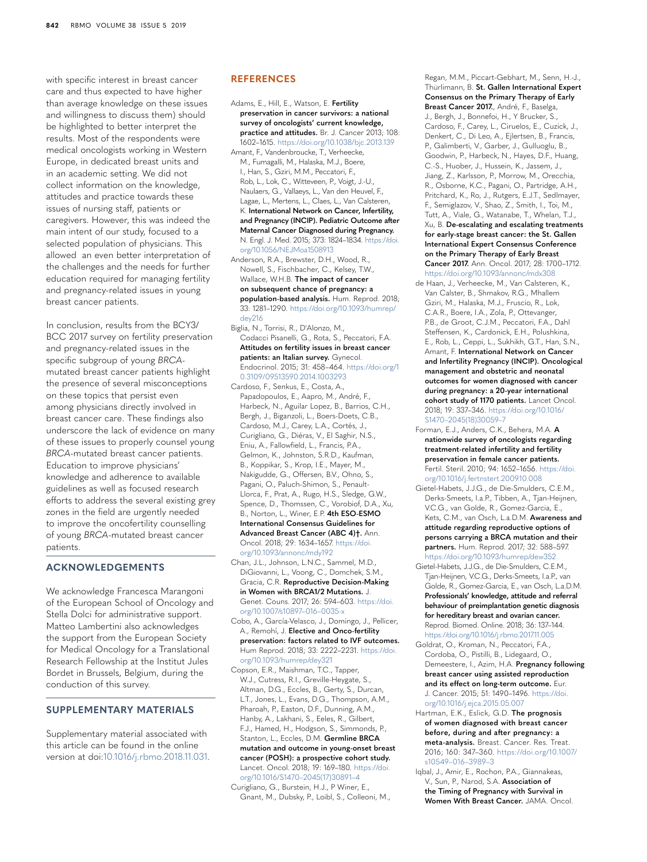with specific interest in breast cancer care and thus expected to have higher than average knowledge on these issues and willingness to discuss them) should be highlighted to better interpret the results. Most of the respondents were medical oncologists working in Western Europe, in dedicated breast units and in an academic setting. We did not collect information on the knowledge, attitudes and practice towards these issues of nursing staff, patients or caregivers. However, this was indeed the main intent of our study, focused to a selected population of physicians. This allowed an even better interpretation of the challenges and the needs for further education required for managing fertility and pregnancy-related issues in young breast cancer patients.

In conclusion, results from the BCY3/ BCC 2017 survey on fertility preservation and pregnancy-related issues in the specific subgroup of young *BRCA*mutated breast cancer patients highlight the presence of several misconceptions on these topics that persist even among physicians directly involved in breast cancer care. These findings also underscore the lack of evidence on many of these issues to properly counsel young *BRCA*-mutated breast cancer patients. Education to improve physicians' knowledge and adherence to available guidelines as well as focused research efforts to address the several existing grey zones in the field are urgently needed to improve the oncofertility counselling of young *BRCA*-mutated breast cancer patients.

# **ACKNOWLEDGEMENTS**

We acknowledge Francesca Marangoni of the European School of Oncology and Stella Dolci for administrative support. Matteo Lambertini also acknowledges the support from the European Society for Medical Oncology for a Translational Research Fellowship at the Institut Jules Bordet in Brussels, Belgium, during the conduction of this survey.

# **SUPPLEMENTARY MATERIALS**

Supplementary material associated with this article can be found in the online version at doi[:10.1016/j.rbmo.2018.11.031](https://doi.org/10.1016/j.rbmo.2018.11.031).

### **REFERENCES**

- <span id="page-7-3"></span>Adams, E., Hill, E., Watson, E. **Fertility preservation in cancer survivors: a national survey of oncologists' current knowledge, practice and attitudes.** Br. J. Cancer 2013; 108: 1602–1615. <https://doi.org/10.1038/bjc.2013.139> Amant, F., Vandenbroucke, T., Verheecke,
- <span id="page-7-10"></span>M., Fumagalli, M., Halaska, M.J., Boere, I., Han, S., Gziri, M.M., Peccatori, F., Rob, L., Lok, C., Witteveen, P., Voigt, J.-U., Naulaers, G., Vallaeys, L., Van den Heuvel, F., Lagae, L., Mertens, L., Claes, L., Van Calsteren, K. **International Network on Cancer, Infertility, and Pregnancy (INCIP). Pediatric Outcome after Maternal Cancer Diagnosed during Pregnancy.** N. Engl. J. Med. 2015; 373: 1824–1834. [https://doi.](https://doi.org/10.1056/NEJMoa1508913) [org/10.1056/NEJMoa1508913](https://doi.org/10.1056/NEJMoa1508913)
- <span id="page-7-5"></span>Anderson, R.A., Brewster, D.H., Wood, R., Nowell, S., Fischbacher, C., Kelsey, T.W., Wallace, W.H.B. **The impact of cancer on subsequent chance of pregnancy: a population-based analysis.** Hum. Reprod. 2018; 33: 1281–1290. [https://doi.org/10.1093/humrep/](https://doi.org/10.1093/humrep/dey216) [dey216](https://doi.org/10.1093/humrep/dey216)
- <span id="page-7-6"></span>Biglia, N., Torrisi, R., D'Alonzo, M., Codacci Pisanelli, G., Rota, S., Peccatori, F.A. **Attitudes on fertility issues in breast cancer patients: an Italian survey.** Gynecol. Endocrinol. 2015; 31: 458–464. [https://doi.org/1](https://doi.org/10.3109/09513590.2014.1003293) [0.3109/09513590.2014.1003293](https://doi.org/10.3109/09513590.2014.1003293)
- <span id="page-7-11"></span>Cardoso, F., Senkus, E., Costa, A., Papadopoulos, E., Aapro, M., André, F., Harbeck, N., Aguilar Lopez, B., Barrios, C.H., Bergh, J., Biganzoli, L., Boers-Doets, C.B., Cardoso, M.J., Carey, L.A., Cortés, J., Curigliano, G., Diéras, V., El Saghir, N.S., Eniu, A., Fallowfield, L., Francis, P.A., Gelmon, K., Johnston, S.R.D., Kaufman, B., Koppikar, S., Krop, I.E., Mayer, M., Nakigudde, G., Offersen, B.V., Ohno, S., Pagani, O., Paluch-Shimon, S., Penault-Llorca, F., Prat, A., Rugo, H.S., Sledge, G.W., Spence, D., Thomssen, C., Vorobiof, D.A., Xu, B., Norton, L., Winer, E.P. **4th ESO-ESMO International Consensus Guidelines for Advanced Breast Cancer (ABC 4)†.** Ann. Oncol. 2018; 29: 1634–1657. [https://doi.](https://doi.org/10.1093/annonc/mdy192) [org/10.1093/annonc/mdy192](https://doi.org/10.1093/annonc/mdy192)
- <span id="page-7-1"></span>Chan, J.L., Johnson, L.N.C., Sammel, M.D., DiGiovanni, L., Voong, C., Domchek, S.M., Gracia, C.R. **Reproductive Decision-Making in Women with BRCA1/2 Mutations.** J. Genet. Couns. 2017; 26: 594–603. [https://doi.](https://doi.org/10.1007/s10897-016-0035-x) [org/10.1007/s10897–016–0035-x](https://doi.org/10.1007/s10897-016-0035-x)
- <span id="page-7-4"></span>Cobo, A., García-Velasco, J., Domingo, J., Pellicer, A., Remohí, J. **Elective and Onco-fertility preservation: factors related to IVF outcomes.** Hum Reprod. 2018; 33: 2222–2231. [https://doi.](https://doi.org/10.1093/humrep/dey321) [org/10.1093/humrep/dey321](https://doi.org/10.1093/humrep/dey321)
- <span id="page-7-0"></span>Copson, E.R., Maishman, T.C., Tapper, W.J., Cutress, R.I., Greville-Heygate, S., Altman, D.G., Eccles, B., Gerty, S., Durcan, L.T., Jones, L., Evans, D.G., Thompson, A.M., Pharoah, P., Easton, D.F., Dunning, A.M., Hanby, A., Lakhani, S., Eeles, R., Gilbert, F.J., Hamed, H., Hodgson, S., Simmonds, P., Stanton, L., Eccles, D.M. **Germline BRCA mutation and outcome in young-onset breast cancer (POSH): a prospective cohort study.** Lancet. Oncol. 2018; 19: 169–180. [https://doi.](https://doi.org/10.1016/S1470-2045(17)30891-4) [org/10.1016/S1470–2045\(17\)30891–4](https://doi.org/10.1016/S1470-2045(17)30891-4)
- <span id="page-7-2"></span>Curigliano, G., Burstein, H.J., P Winer, E., Gnant, M., Dubsky, P., Loibl, S., Colleoni, M.,

Regan, M.M., Piccart-Gebhart, M., Senn, H.-J., Thürlimann, B. **St. Gallen International Expert Consensus on the Primary Therapy of Early Breast Cancer 2017.**, André, F., Baselga,

J., Bergh, J., Bonnefoi, H., Y Brucker, S., Cardoso, F., Carey, L., Ciruelos, E., Cuzick, J., Denkert, C., Di Leo, A., Ejlertsen, B., Francis, P., Galimberti, V., Garber, J., Gulluoglu, B., Goodwin, P., Harbeck, N., Hayes, D.F., Huang, C.-S., Huober, J., Hussein, K., Jassem, J., Jiang, Z., Karlsson, P., Morrow, M., Orecchia, R., Osborne, K.C., Pagani, O., Partridge, A.H., Pritchard, K., Ro, J., Rutgers, E.J.T., Sedlmayer, F., Semiglazov, V., Shao, Z., Smith, I., Toi, M., Tutt, A., Viale, G., Watanabe, T., Whelan, T.J., Xu, B. **De-escalating and escalating treatments for early-stage breast cancer: the St. Gallen International Expert Consensus Conference on the Primary Therapy of Early Breast Cancer 2017.** Ann. Oncol. 2017; 28: 1700–1712.

- <span id="page-7-12"></span><https://doi.org/10.1093/annonc/mdx308> de Haan, J., Verheecke, M., Van Calsteren, K., Van Calster, B., Shmakov, R.G., Mhallem Gziri, M., Halaska, M.J., Fruscio, R., Lok, C.A.R., Boere, I.A., Zola, P., Ottevanger, P.B., de Groot, C.J.M., Peccatori, F.A., Dahl Steffensen, K., Cardonick, E.H., Polushkina, E., Rob, L., Ceppi, L., Sukhikh, G.T., Han, S.N., Amant, F. **International Network on Cancer and Infertility Pregnancy (INCIP). Oncological management and obstetric and neonatal outcomes for women diagnosed with cancer during pregnancy: a 20-year international cohort study of 1170 patients.** Lancet Oncol. 2018; 19: 337–346. [https://doi.org/10.1016/](https://doi.org/10.1016/S1470-2045(18)30059-7) [S1470–2045\(18\)30059–7](https://doi.org/10.1016/S1470-2045(18)30059-7)
- Forman, E.J., Anders, C.K., Behera, M.A. **A nationwide survey of oncologists regarding treatment-related infertility and fertility preservation in female cancer patients.** Fertil. Steril. 2010; 94: 1652–1656. [https://doi.](https://doi.org/10.1016/j.fertnstert.2009.10.008) [org/10.1016/j.fertnstert.2009.10.008](https://doi.org/10.1016/j.fertnstert.2009.10.008)
- Gietel-Habets, J.J.G., de Die-Smulders, C.E.M., Derks-Smeets, I.a.P., Tibben, A., Tjan-Heijnen, V.C.G., van Golde, R., Gomez-Garcia, E., Kets, C.M., van Osch, L.a.D.M. **Awareness and attitude regarding reproductive options of persons carrying a BRCA mutation and their partners.** Hum. Reprod. 2017; 32: 588–597. <https://doi.org/10.1093/humrep/dew352>
- <span id="page-7-9"></span>Gietel-Habets, J.J.G., de Die-Smulders, C.E.M., Tjan-Heijnen, V.C.G., Derks-Smeets, I.a.P., van Golde, R., Gomez-Garcia, E., van Osch, L.a.D.M. **Professionals' knowledge, attitude and referral behaviour of preimplantation genetic diagnosis for hereditary breast and ovarian cancer.** Reprod. Biomed. Online. 2018; 36: 137–144. <https://doi.org/10.1016/j.rbmo.2017.11.005>
- <span id="page-7-8"></span>Goldrat, O., Kroman, N., Peccatori, F.A., Cordoba, O., Pistilli, B., Lidegaard, O., Demeestere, I., Azim, H.A. **Pregnancy following breast cancer using assisted reproduction and its effect on long-term outcome.** Eur. J. Cancer. 2015; 51: 1490–1496. [https://doi.](https://doi.org/10.1016/j.ejca.2015.05.007) [org/10.1016/j.ejca.2015.05.007](https://doi.org/10.1016/j.ejca.2015.05.007)
- <span id="page-7-7"></span>Hartman, E.K., Eslick, G.D. **The prognosis of women diagnosed with breast cancer before, during and after pregnancy: a meta-analysis.** Breast. Cancer. Res. Treat. 2016; 160: 347–360. [https://doi.org/10.1007/](https://doi.org/10.1007/s10549-016-3989-3) [s10549–016–3989–3](https://doi.org/10.1007/s10549-016-3989-3)
- Iqbal, J., Amir, E., Rochon, P.A., Giannakeas, V., Sun, P., Narod, S.A. **Association of the Timing of Pregnancy with Survival in Women With Breast Cancer.** JAMA. Oncol.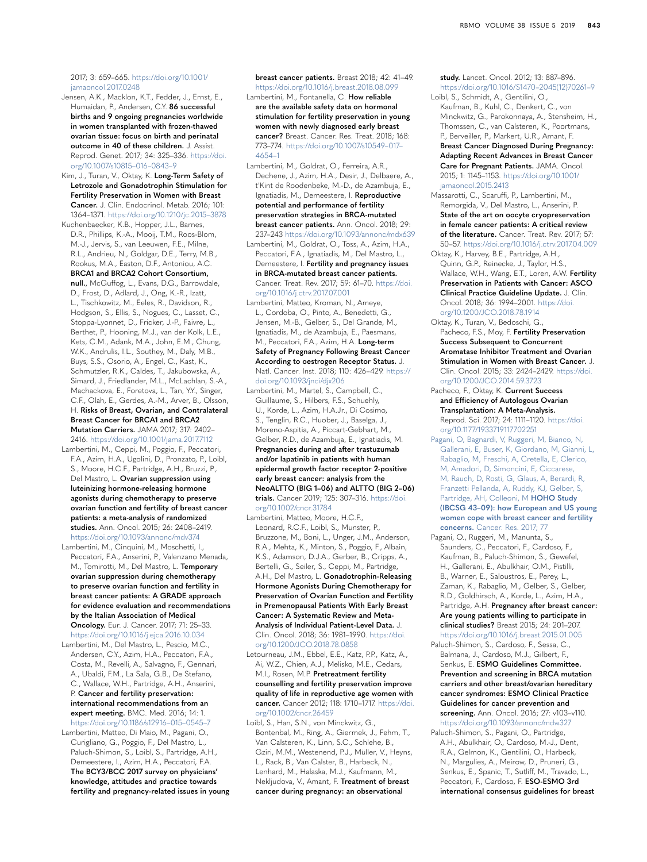#### 2017; 3: 659–665. [https://doi.org/10.1001/](https://doi.org/10.1001/jamaoncol.2017.0248) [jamaoncol.2017.0248](https://doi.org/10.1001/jamaoncol.2017.0248)

<span id="page-8-11"></span>Jensen, A.K., Macklon, K.T., Fedder, J., Ernst, E., Humaidan, P., Andersen, C.Y. **86 successful births and 9 ongoing pregnancies worldwide in women transplanted with frozen-thawed ovarian tissue: focus on birth and perinatal outcome in 40 of these children.** J. Assist. Reprod. Genet. 2017; 34: 325–336. [https://doi.](https://doi.org/10.1007/s10815-016-0843-9) [org/10.1007/s10815–016–0843–9](https://doi.org/10.1007/s10815-016-0843-9)

<span id="page-8-7"></span>Kim, J., Turan, V., Oktay, K. **Long-Term Safety of Letrozole and Gonadotrophin Stimulation for Fertility Preservation in Women with Breast Cancer.** J. Clin. Endocrinol. Metab. 2016; 101: 1364–1371. [https://doi.org/10.1210/jc.2015–3878](https://doi.org/10.1210/jc.2015-3878)

<span id="page-8-2"></span>Kuchenbaecker, K.B., Hopper, J.L., Barnes, D.R., Phillips, K.-A., Mooij, T.M., Roos-Blom, M.-J., Jervis, S., van Leeuwen, F.E., Milne, R.L., Andrieu, N., Goldgar, D.E., Terry, M.B., Rookus, M.A., Easton, D.F., Antoniou, A.C. **BRCA1 and BRCA2 Cohort Consortium, null.**, McGuffog, L., Evans, D.G., Barrowdale,

D., Frost, D., Adlard, J., Ong, K.-R., Izatt, L., Tischkowitz, M., Eeles, R., Davidson, R. Hodgson, S., Ellis, S., Nogues, C., Lasset, C., Stoppa-Lyonnet, D., Fricker, J.-P., Faivre, L., Berthet, P., Hooning, M.J., van der Kolk, L.E., Kets, C.M., Adank, M.A., John, E.M., Chung, W.K., Andrulis, I.L., Southey, M., Daly, M.B., Buys, S.S., Osorio, A., Engel, C., Kast, K., Schmutzler, R.K., Caldes, T., Jakubowska, A., Simard, J., Friedlander, M.L., McLachlan, S.-A., Machackova, E., Foretova, L., Tan, Y.Y., Singer, C.F., Olah, E., Gerdes, A.-M., Arver, B., Olsson, H. **Risks of Breast, Ovarian, and Contralateral Breast Cancer for BRCA1 and BRCA2 Mutation Carriers.** JAMA 2017; 317: 2402– 2416.<https://doi.org/10.1001/jama.2017.7112>

<span id="page-8-12"></span>Lambertini, M., Ceppi, M., Poggio, F., Peccatori, F.A., Azim, H.A., Ugolini, D., Pronzato, P., Loibl, S., Moore, H.C.F., Partridge, A.H., Bruzzi, P., Del Mastro, L. **Ovarian suppression using luteinizing hormone-releasing hormone agonists during chemotherapy to preserve ovarian function and fertility of breast cancer patients: a meta-analysis of randomized studies.** Ann. Oncol. 2015; 26: 2408–2419. <https://doi.org/10.1093/annonc/mdv374>

<span id="page-8-13"></span>Lambertini, M., Cinquini, M., Moschetti, I., Peccatori, F.A., Anserini, P., Valenzano Menada, M., Tomirotti, M., Del Mastro, L. **Temporary ovarian suppression during chemotherapy to preserve ovarian function and fertility in breast cancer patients: A GRADE approach for evidence evaluation and recommendations by the Italian Association of Medical Oncology.** Eur. J. Cancer. 2017; 71: 25–33.

<span id="page-8-9"></span><https://doi.org/10.1016/j.ejca.2016.10.034> Lambertini, M., Del Mastro, L., Pescio, M.C., Andersen, C.Y., Azim, H.A., Peccatori, F.A., Costa, M., Revelli, A., Salvagno, F., Gennari, A., Ubaldi, F.M., La Sala, G.B., De Stefano, C., Wallace, W.H., Partridge, A.H., Anserini, P. **Cancer and fertility preservation: international recommendations from an** 

**expert meeting.** BMC. Med. 2016; 14: 1. [https://doi.org/10.1186/s12916–015–0545–7](https://doi.org/10.1186/s12916-015-0545-7) Lambertini, Matteo, Di Maio, M., Pagani, O.,

<span id="page-8-5"></span>Curigliano, G., Poggio, F., Del Mastro, L., Paluch-Shimon, S., Loibl, S., Partridge, A.H., Demeestere, I., Azim, H.A., Peccatori, F.A. **The BCY3/BCC 2017 survey on physicians' knowledge, attitudes and practice towards fertility and pregnancy-related issues in young**  **breast cancer patients.** Breast 2018; 42: 41–49. <https://doi.org/10.1016/j.breast.2018.08.099>

Lambertini, M., Fontanella, C. **How reliable are the available safety data on hormonal stimulation for fertility preservation in young women with newly diagnosed early breast cancer?** Breast. Cancer. Res. Treat. 2018; 168: 773–774. [https://doi.org/10.1007/s10549–017–](https://doi.org/10.1007/s10549-017-4654-1) [4654–1](https://doi.org/10.1007/s10549-017-4654-1)

<span id="page-8-8"></span>Lambertini, M., Goldrat, O., Ferreira, A.R., Dechene, J., Azim, H.A., Desir, J., Delbaere, A., t'Kint de Roodenbeke, M.-D., de Azambuja, E., Ignatiadis, M., Demeestere, I. **Reproductive potential and performance of fertility preservation strategies in BRCA-mutated breast cancer patients.** Ann. Oncol. 2018; 29: 237–243 <https://doi.org/10.1093/annonc/mdx639>

<span id="page-8-1"></span>Lambertini, M., Goldrat, O., Toss, A., Azim, H.A., Peccatori, F.A., Ignatiadis, M., Del Mastro, L., Demeestere, I. **Fertility and pregnancy issues in BRCA-mutated breast cancer patients.** Cancer. Treat. Rev. 2017; 59: 61–70. [https://doi.](https://doi.org/10.1016/j.ctrv.2017.07.001) [org/10.1016/j.ctrv.2017.07.001](https://doi.org/10.1016/j.ctrv.2017.07.001)

<span id="page-8-15"></span>Lambertini, Matteo, Kroman, N., Ameye, L., Cordoba, O., Pinto, A., Benedetti, G., Jensen, M.-B., Gelber, S., Del Grande, M., Ignatiadis, M., de Azambuja, E., Paesmans, M., Peccatori, F.A., Azim, H.A. **Long-term Safety of Pregnancy Following Breast Cancer According to oestrogen Receptor Status.** J.

Natl. Cancer. Inst. 2018; 110: 426–429. [https://](https://doi.org/10.1093/jnci/djx206) [doi.org/10.1093/jnci/djx206](https://doi.org/10.1093/jnci/djx206) Lambertini, M., Martel, S., Campbell, C.,

Guillaume, S., Hilbers, F.S., Schuehly, U., Korde, L., Azim, H.A.Jr., Di Cosimo, S., Tenglin, R.C., Huober, J., Baselga, J., Moreno-Aspitia, A., Piccart-Gebhart, M., Gelber, R.D., de Azambuja, E., Ignatiadis, M. **Pregnancies during and after trastuzumab and/or lapatinib in patients with human epidermal growth factor receptor 2-positive early breast cancer: analysis from the NeoALTTO (BIG 1–06) and ALTTO (BIG 2–06) trials.** Cancer 2019; 125: 307–316. [https://doi.](https://doi.org/10.1002/cncr.31784) [org/10.1002/cncr.31784](https://doi.org/10.1002/cncr.31784)

Lambertini, Matteo, Moore, H.C.F., Leonard, R.C.F., Loibl, S., Munster, P., Bruzzone, M., Boni, L., Unger, J.M., Anderson, R.A., Mehta, K., Minton, S., Poggio, F., Albain, K.S., Adamson, D.J.A., Gerber, B., Cripps, A., Bertelli, G., Seiler, S., Ceppi, M., Partridge, A.H., Del Mastro, L. **Gonadotrophin-Releasing Hormone Agonists During Chemotherapy for Preservation of Ovarian Function and Fertility in Premenopausal Patients With Early Breast Cancer: A Systematic Review and Meta-Analysis of Individual Patient-Level Data.** J. Clin. Oncol. 2018; 36: 1981–1990. [https://doi.](https://doi.org/10.1200/JCO.2018.78.0858) [org/10.1200/JCO.2018.78.0858](https://doi.org/10.1200/JCO.2018.78.0858)

<span id="page-8-14"></span>Letourneau, J.M., Ebbel, E.E., Katz, P.P., Katz, A., Ai, W.Z., Chien, A.J., Melisko, M.E., Cedars, M.I., Rosen, M.P. **Pretreatment fertility counselling and fertility preservation improve quality of life in reproductive age women with cancer.** Cancer 2012; 118: 1710–1717. [https://doi.](https://doi.org/10.1002/cncr.26459) [org/10.1002/cncr.26459](https://doi.org/10.1002/cncr.26459)

Loibl, S., Han, S.N., von Minckwitz, G., Bontenbal, M., Ring, A., Giermek, J., Fehm, T., Van Calsteren, K., Linn, S.C., Schlehe, B., Gziri, M.M., Westenend, P.J., Müller, V., Heyns, L., Rack, B., Van Calster, B., Harbeck, N., Lenhard, M., Halaska, M.J., Kaufmann, M., Nekljudova, V., Amant, F. **Treatment of breast cancer during pregnancy: an observational** 

**study.** Lancet. Oncol. 2012; 13: 887–896. [https://doi.org/10.1016/S1470–2045\(12\)70261–9](https://doi.org/10.1016/S1470-2045(12)70261-9)

<span id="page-8-4"></span>Loibl, S., Schmidt, A., Gentilini, O., Kaufman, B., Kuhl, C., Denkert, C., von Minckwitz, G., Parokonnaya, A., Stensheim, H., Thomssen, C., van Calsteren, K., Poortmans, P., Berveiller, P., Markert, U.R., Amant, F. **Breast Cancer Diagnosed During Pregnancy: Adapting Recent Advances in Breast Cancer Care for Pregnant Patients.** JAMA. Oncol. 2015; 1: 1145–1153. [https://doi.org/10.1001/](https://doi.org/10.1001/jamaoncol.2015.2413) [jamaoncol.2015.2413](https://doi.org/10.1001/jamaoncol.2015.2413)

Massarotti, C., Scaruffi, P., Lambertini, M., Remorgida, V., Del Mastro, L., Anserini, P. **State of the art on oocyte cryopreservation in female cancer patients: A critical review of the literature.** Cancer. Treat. Rev. 2017; 57: 50–57. <https://doi.org/10.1016/j.ctrv.2017.04.009>

<span id="page-8-3"></span>Oktay, K., Harvey, B.E., Partridge, A.H., Quinn, G.P., Reinecke, J., Taylor, H.S. Wallace, W.H., Wang, E.T., Loren, A.W. **Fertility Preservation in Patients with Cancer: ASCO Clinical Practice Guideline Update.** J. Clin. Oncol. 2018; 36: 1994–2001. [https://doi.](https://doi.org/10.1200/JCO.2018.78.1914) [org/10.1200/JCO.2018.78.1914](https://doi.org/10.1200/JCO.2018.78.1914)

Oktay, K., Turan, V., Bedoschi, G., Pacheco, F.S., Moy, F. **Fertility Preservation Success Subsequent to Concurrent Aromatase Inhibitor Treatment and Ovarian Stimulation in Women with Breast Cancer.** J. Clin. Oncol. 2015; 33: 2424–2429. [https://doi.](https://doi.org/10.1200/JCO.2014.59.3723) [org/10.1200/JCO.2014.59.3723](https://doi.org/10.1200/JCO.2014.59.3723)

<span id="page-8-10"></span>Pacheco, F., Oktay, K. **Current Success and Efficiency of Autologous Ovarian Transplantation: A Meta-Analysis.** Reprod. Sci. 2017; 24: 1111–1120. [https://doi.](https://doi.org/10.1177/1933719117702251) [org/10.1177/1933719117702251](https://doi.org/10.1177/1933719117702251)

[Pagani, O, Bagnardi, V, Ruggeri, M, Bianco, N,](http://refhub.elsevier.com/S1472-6483(19)30011-2/sbref0037)  [Gallerani, E, Buser, K, Giordano, M, Gianni, L,](http://refhub.elsevier.com/S1472-6483(19)30011-2/sbref0037)  [Rabaglio, M, Freschi, A, Cretella, E, Clerico,](http://refhub.elsevier.com/S1472-6483(19)30011-2/sbref0037)  [M, Amadori, D, Simoncini, E, Ciccarese,](http://refhub.elsevier.com/S1472-6483(19)30011-2/sbref0037)  [M, Rauch, D, Rosti, G, Glaus, A, Berardi, R,](http://refhub.elsevier.com/S1472-6483(19)30011-2/sbref0037)  [Franzetti Pellanda, A, Ruddy, KJ, Gelber, S,](http://refhub.elsevier.com/S1472-6483(19)30011-2/sbref0037)  [Partridge, AH, Colleoni, M](http://refhub.elsevier.com/S1472-6483(19)30011-2/sbref0037) **HOHO Study [\(IBCSG 43–09\): how European and US young](http://refhub.elsevier.com/S1472-6483(19)30011-2/sbref0037)  [women cope with breast cancer and fertility](http://refhub.elsevier.com/S1472-6483(19)30011-2/sbref0037)  concerns.** [Cancer. Res. 2017; 77](http://refhub.elsevier.com/S1472-6483(19)30011-2/sbref0037)

<span id="page-8-16"></span>Pagani, O., Ruggeri, M., Manunta, S., Saunders, C., Peccatori, F., Cardoso, F., Kaufman, B., Paluch-Shimon, S., Gewefel, H., Gallerani, E., Abulkhair, O.M., Pistilli, B., Warner, E., Saloustros, E., Perey, L., Zaman, K., Rabaglio, M., Gelber, S., Gelber, R.D., Goldhirsch, A., Korde, L., Azim, H.A., Partridge, A.H. **Pregnancy after breast cancer: Are young patients willing to participate in clinical studies?** Breast 2015; 24: 201–207. <https://doi.org/10.1016/j.breast.2015.01.005>

<span id="page-8-0"></span>Paluch-Shimon, S., Cardoso, F., Sessa, C., Balmana, J., Cardoso, M.J., Gilbert, F., Senkus, E. **ESMO Guidelines Committee. Prevention and screening in BRCA mutation carriers and other breast/ovarian hereditary cancer syndromes: ESMO Clinical Practice Guidelines for cancer prevention and screening.** Ann. Oncol. 2016; 27: v103–v110. <https://doi.org/10.1093/annonc/mdw327>

<span id="page-8-6"></span>Paluch-Shimon, S., Pagani, O., Partridge, A.H., Abulkhair, O., Cardoso, M.-J., Dent, R.A., Gelmon, K., Gentilini, O., Harbeck, N., Margulies, A., Meirow, D., Pruneri, G., Senkus, E., Spanic, T., Sutliff, M., Travado, L., Peccatori, F., Cardoso, F. **ESO-ESMO 3rd international consensus guidelines for breast**